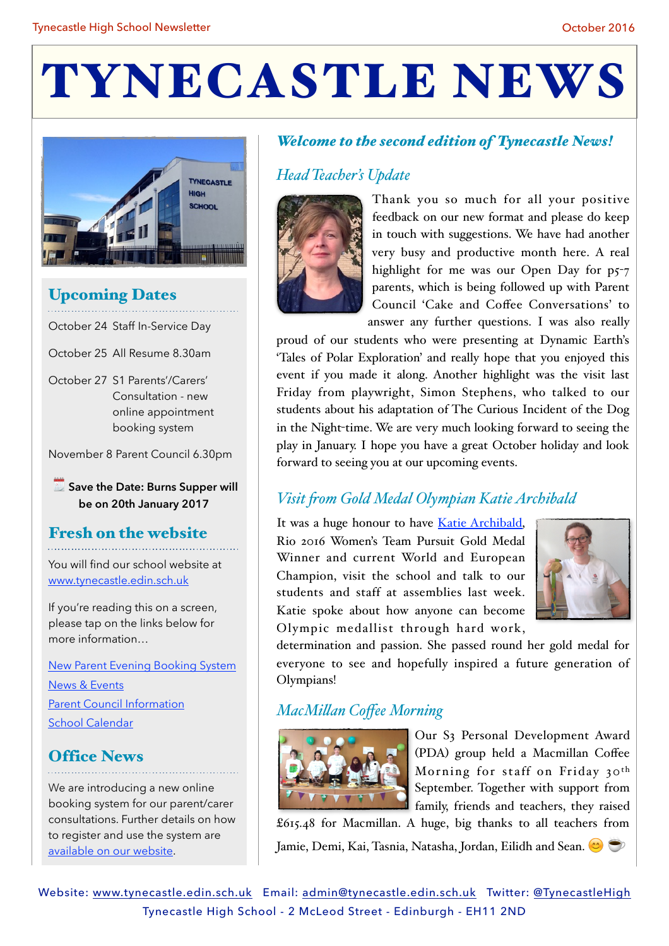# TYNECASTLE NEWS



### Upcoming Dates

October 24 Staff In-Service Day

October 25 All Resume 8.30am

October 27 S1 Parents'/Carers' Consultation - new online appointment booking system

November 8 Parent Council 6.30pm

**Save the Date: Burns Supper will be on 20th January 2017** 

### Fresh on the website

You will find our school website at [www.tynecastle.edin.sch.uk](http://tynecastlehighschool.org.uk)

If you're reading this on a screen, please tap on the links below for more information…

[New Parent Evening Booking System](http://tynecastlehighschool.org.uk/news/online-booking-system-for-parents-evenings/) [News & Events](http://tynecastlehighschool.org.uk/category/news/) [Parent Council Information](http://tynecastlehighschool.org.uk/school-information/parent-council/) [School Calendar](http://tynecastlehighschool.org.uk/school-information/school-calendar/)

### Office News

We are introducing a new online booking system for our parent/carer consultations. Further details on how to register and use the system are [available on our website.](http://tynecastlehighschool.org.uk/news/online-booking-system-for-parents-evenings/)

### *Welcome to the second edition of Tynecastle News!*

### *Head Teacher's Update*



Thank you so much for all your positive feedback on our new format and please do keep in touch with suggestions. We have had another very busy and productive month here. A real highlight for me was our Open Day for p5-7 parents, which is being followed up with Parent Council 'Cake and Coffee Conversations' to answer any further questions. I was also really

proud of our students who were presenting at Dynamic Earth's 'Tales of Polar Exploration' and really hope that you enjoyed this event if you made it along. Another highlight was the visit last Friday from playwright, Simon Stephens, who talked to our students about his adaptation of The Curious Incident of the Dog in the Night-time. We are very much looking forward to seeing the play in January. I hope you have a great October holiday and look forward to seeing you at our upcoming events.

### *Visit fom Gold Medal Olympian Katie Archibald*

It was a huge honour to have [Katie Archibald,](https://en.wikipedia.org/wiki/Katie_Archibald) Rio 2016 Women's Team Pursuit Gold Medal Winner and current World and European Champion, visit the school and talk to our students and staff at assemblies last week. Katie spoke about how anyone can become Olympic medallist through hard work,



determination and passion. She passed round her gold medal for everyone to see and hopefully inspired a future generation of Olympians!

### *MacMilan Coffee Morning*



Our S3 Personal Development Award (PDA) group held a Macmillan Coffee Morning for staff on Friday 30<sup>th</sup> September. Together with support from family, friends and teachers, they raised

£615.48 for Macmillan. A huge, big thanks to all teachers from Jamie, Demi, Kai, Tasnia, Natasha, Jordan, Eilidh and Sean. ☕

Website: [www.tynecastle.edin.sch.uk](http://www.tynecastle.edin.sch.uk) Email: [admin@tynecastle.edin.sch.uk](mailto:admin@tynecastle.edin.sch.uk) Twitter: [@TynecastleHigh](https://twitter.com/TynecastleHigh) Tynecastle High School - 2 McLeod Street - Edinburgh - EH11 2ND